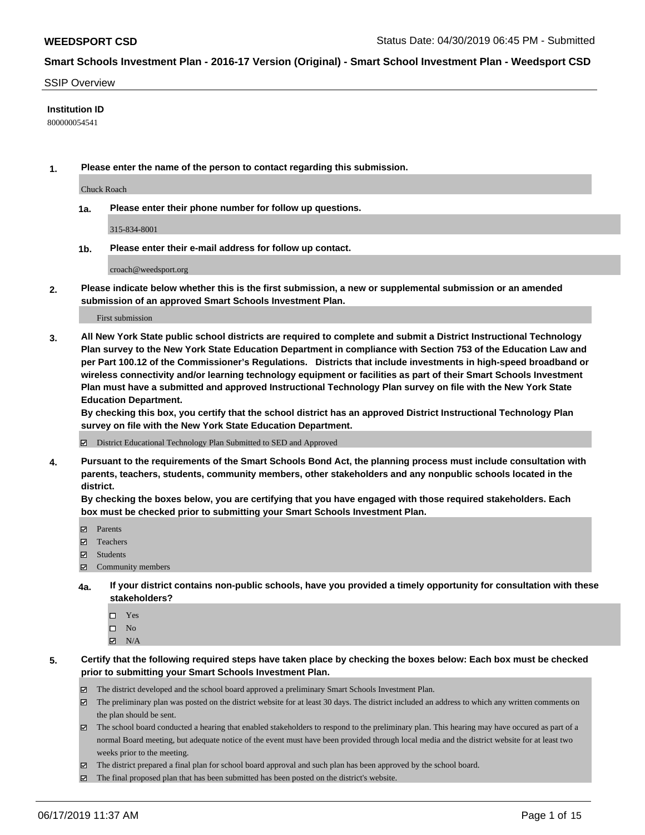#### SSIP Overview

### **Institution ID**

800000054541

**1. Please enter the name of the person to contact regarding this submission.**

Chuck Roach

**1a. Please enter their phone number for follow up questions.**

315-834-8001

**1b. Please enter their e-mail address for follow up contact.**

croach@weedsport.org

**2. Please indicate below whether this is the first submission, a new or supplemental submission or an amended submission of an approved Smart Schools Investment Plan.**

First submission

**3. All New York State public school districts are required to complete and submit a District Instructional Technology Plan survey to the New York State Education Department in compliance with Section 753 of the Education Law and per Part 100.12 of the Commissioner's Regulations. Districts that include investments in high-speed broadband or wireless connectivity and/or learning technology equipment or facilities as part of their Smart Schools Investment Plan must have a submitted and approved Instructional Technology Plan survey on file with the New York State Education Department.** 

**By checking this box, you certify that the school district has an approved District Instructional Technology Plan survey on file with the New York State Education Department.**

District Educational Technology Plan Submitted to SED and Approved

**4. Pursuant to the requirements of the Smart Schools Bond Act, the planning process must include consultation with parents, teachers, students, community members, other stakeholders and any nonpublic schools located in the district.** 

**By checking the boxes below, you are certifying that you have engaged with those required stakeholders. Each box must be checked prior to submitting your Smart Schools Investment Plan.**

- Parents
- Teachers
- Students
- Community members
- **4a. If your district contains non-public schools, have you provided a timely opportunity for consultation with these stakeholders?**
	- □ Yes
	- $\square$  No
	- $N/A$

**5. Certify that the following required steps have taken place by checking the boxes below: Each box must be checked prior to submitting your Smart Schools Investment Plan.**

- The district developed and the school board approved a preliminary Smart Schools Investment Plan.
- $\boxtimes$  The preliminary plan was posted on the district website for at least 30 days. The district included an address to which any written comments on the plan should be sent.
- $\boxtimes$  The school board conducted a hearing that enabled stakeholders to respond to the preliminary plan. This hearing may have occured as part of a normal Board meeting, but adequate notice of the event must have been provided through local media and the district website for at least two weeks prior to the meeting.
- The district prepared a final plan for school board approval and such plan has been approved by the school board.
- $\boxtimes$  The final proposed plan that has been submitted has been posted on the district's website.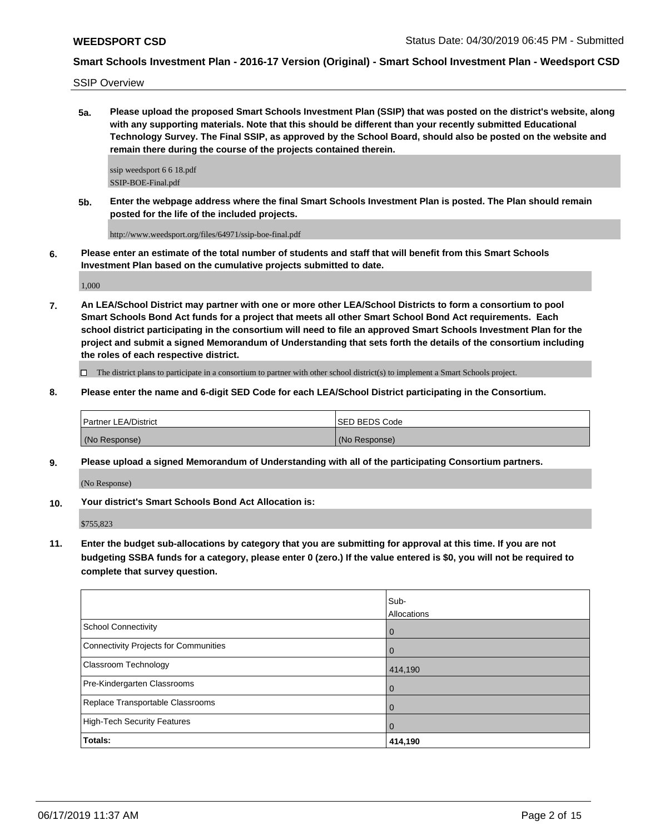SSIP Overview

**5a. Please upload the proposed Smart Schools Investment Plan (SSIP) that was posted on the district's website, along with any supporting materials. Note that this should be different than your recently submitted Educational Technology Survey. The Final SSIP, as approved by the School Board, should also be posted on the website and remain there during the course of the projects contained therein.**

ssip weedsport 6 6 18.pdf SSIP-BOE-Final.pdf

**5b. Enter the webpage address where the final Smart Schools Investment Plan is posted. The Plan should remain posted for the life of the included projects.**

http://www.weedsport.org/files/64971/ssip-boe-final.pdf

**6. Please enter an estimate of the total number of students and staff that will benefit from this Smart Schools Investment Plan based on the cumulative projects submitted to date.**

1,000

**7. An LEA/School District may partner with one or more other LEA/School Districts to form a consortium to pool Smart Schools Bond Act funds for a project that meets all other Smart School Bond Act requirements. Each school district participating in the consortium will need to file an approved Smart Schools Investment Plan for the project and submit a signed Memorandum of Understanding that sets forth the details of the consortium including the roles of each respective district.**

 $\Box$  The district plans to participate in a consortium to partner with other school district(s) to implement a Smart Schools project.

**8. Please enter the name and 6-digit SED Code for each LEA/School District participating in the Consortium.**

| <b>Partner LEA/District</b> | ISED BEDS Code |
|-----------------------------|----------------|
| (No Response)               | (No Response)  |

**9. Please upload a signed Memorandum of Understanding with all of the participating Consortium partners.**

(No Response)

**10. Your district's Smart Schools Bond Act Allocation is:**

\$755,823

**11. Enter the budget sub-allocations by category that you are submitting for approval at this time. If you are not budgeting SSBA funds for a category, please enter 0 (zero.) If the value entered is \$0, you will not be required to complete that survey question.**

|                                              | Sub-<br>Allocations |
|----------------------------------------------|---------------------|
| <b>School Connectivity</b>                   | $\overline{0}$      |
| <b>Connectivity Projects for Communities</b> | 0                   |
| Classroom Technology                         | 414,190             |
| Pre-Kindergarten Classrooms                  | $\overline{0}$      |
| Replace Transportable Classrooms             | 0                   |
| <b>High-Tech Security Features</b>           | $\mathbf 0$         |
| Totals:                                      | 414,190             |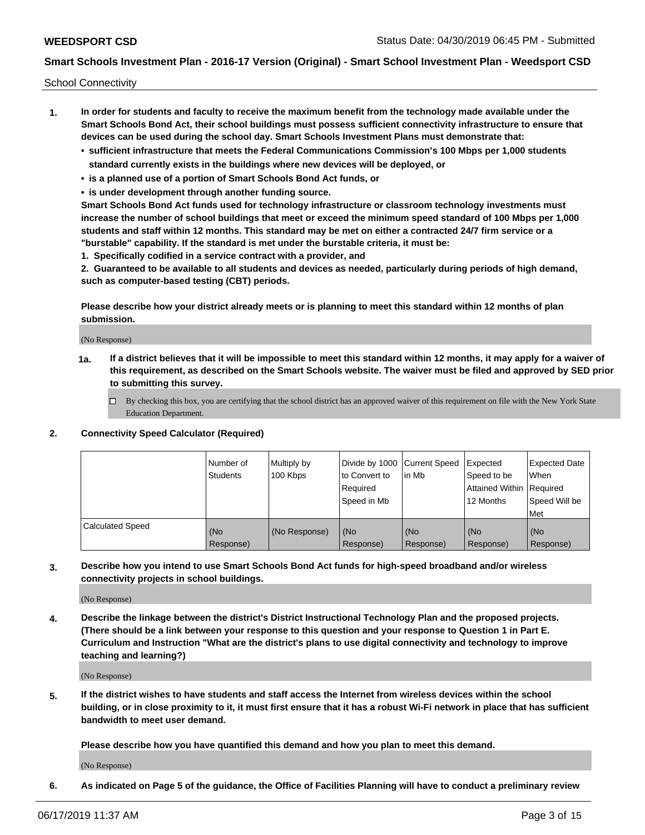School Connectivity

- **1. In order for students and faculty to receive the maximum benefit from the technology made available under the Smart Schools Bond Act, their school buildings must possess sufficient connectivity infrastructure to ensure that devices can be used during the school day. Smart Schools Investment Plans must demonstrate that:**
	- **• sufficient infrastructure that meets the Federal Communications Commission's 100 Mbps per 1,000 students standard currently exists in the buildings where new devices will be deployed, or**
	- **• is a planned use of a portion of Smart Schools Bond Act funds, or**
	- **• is under development through another funding source.**

**Smart Schools Bond Act funds used for technology infrastructure or classroom technology investments must increase the number of school buildings that meet or exceed the minimum speed standard of 100 Mbps per 1,000 students and staff within 12 months. This standard may be met on either a contracted 24/7 firm service or a "burstable" capability. If the standard is met under the burstable criteria, it must be:**

**1. Specifically codified in a service contract with a provider, and**

**2. Guaranteed to be available to all students and devices as needed, particularly during periods of high demand, such as computer-based testing (CBT) periods.**

**Please describe how your district already meets or is planning to meet this standard within 12 months of plan submission.**

(No Response)

**1a. If a district believes that it will be impossible to meet this standard within 12 months, it may apply for a waiver of this requirement, as described on the Smart Schools website. The waiver must be filed and approved by SED prior to submitting this survey.**

 $\Box$  By checking this box, you are certifying that the school district has an approved waiver of this requirement on file with the New York State Education Department.

#### **2. Connectivity Speed Calculator (Required)**

|                         | l Number of<br>Students | Multiply by<br>100 Kbps | Divide by 1000 Current Speed<br>to Convert to<br>Required<br>l Speed in Mb | lin Mb           | Expected<br>Speed to be<br>Attained Within   Required<br>12 Months | <b>Expected Date</b><br>When<br>Speed Will be<br>Met |
|-------------------------|-------------------------|-------------------------|----------------------------------------------------------------------------|------------------|--------------------------------------------------------------------|------------------------------------------------------|
| <b>Calculated Speed</b> | (No<br>Response)        | (No Response)           | (No<br>Response)                                                           | (No<br>Response) | (No<br>Response)                                                   | (No<br>Response)                                     |

**3. Describe how you intend to use Smart Schools Bond Act funds for high-speed broadband and/or wireless connectivity projects in school buildings.**

(No Response)

**4. Describe the linkage between the district's District Instructional Technology Plan and the proposed projects. (There should be a link between your response to this question and your response to Question 1 in Part E. Curriculum and Instruction "What are the district's plans to use digital connectivity and technology to improve teaching and learning?)**

(No Response)

**5. If the district wishes to have students and staff access the Internet from wireless devices within the school building, or in close proximity to it, it must first ensure that it has a robust Wi-Fi network in place that has sufficient bandwidth to meet user demand.**

**Please describe how you have quantified this demand and how you plan to meet this demand.**

(No Response)

**6. As indicated on Page 5 of the guidance, the Office of Facilities Planning will have to conduct a preliminary review**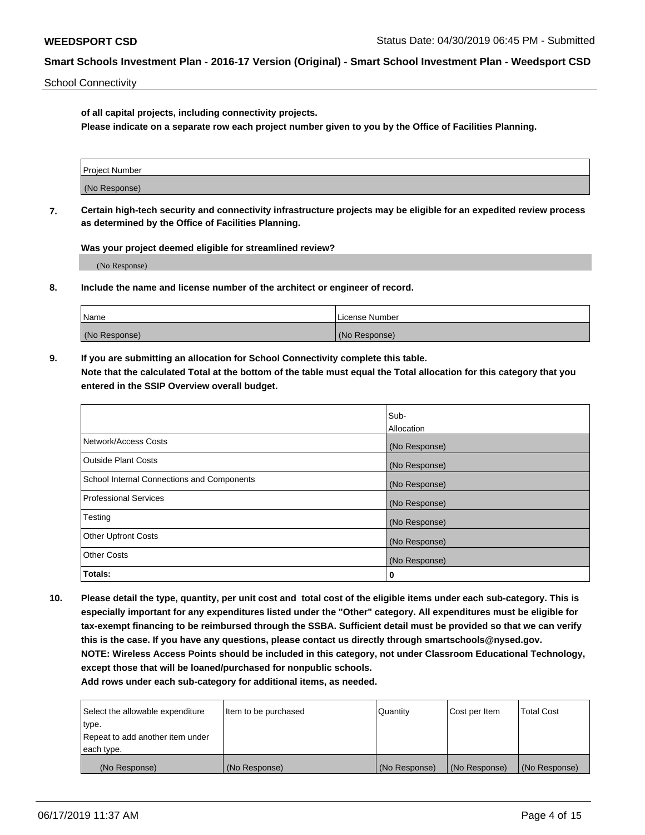School Connectivity

**of all capital projects, including connectivity projects.**

**Please indicate on a separate row each project number given to you by the Office of Facilities Planning.**

| Project Number |  |
|----------------|--|
|                |  |
| (No Response)  |  |
|                |  |

**7. Certain high-tech security and connectivity infrastructure projects may be eligible for an expedited review process as determined by the Office of Facilities Planning.**

**Was your project deemed eligible for streamlined review?**

(No Response)

**8. Include the name and license number of the architect or engineer of record.**

| Name          | License Number |
|---------------|----------------|
| (No Response) | (No Response)  |

**9. If you are submitting an allocation for School Connectivity complete this table. Note that the calculated Total at the bottom of the table must equal the Total allocation for this category that you entered in the SSIP Overview overall budget.** 

|                                            | Sub-          |
|--------------------------------------------|---------------|
|                                            | Allocation    |
| Network/Access Costs                       | (No Response) |
| Outside Plant Costs                        | (No Response) |
| School Internal Connections and Components | (No Response) |
| <b>Professional Services</b>               | (No Response) |
| Testing                                    | (No Response) |
| <b>Other Upfront Costs</b>                 | (No Response) |
| <b>Other Costs</b>                         | (No Response) |
| Totals:                                    | 0             |

**10. Please detail the type, quantity, per unit cost and total cost of the eligible items under each sub-category. This is especially important for any expenditures listed under the "Other" category. All expenditures must be eligible for tax-exempt financing to be reimbursed through the SSBA. Sufficient detail must be provided so that we can verify this is the case. If you have any questions, please contact us directly through smartschools@nysed.gov. NOTE: Wireless Access Points should be included in this category, not under Classroom Educational Technology, except those that will be loaned/purchased for nonpublic schools.**

| Select the allowable expenditure | Item to be purchased | Quantity      | Cost per Item | <b>Total Cost</b> |
|----------------------------------|----------------------|---------------|---------------|-------------------|
| type.                            |                      |               |               |                   |
| Repeat to add another item under |                      |               |               |                   |
| each type.                       |                      |               |               |                   |
| (No Response)                    | (No Response)        | (No Response) | (No Response) | (No Response)     |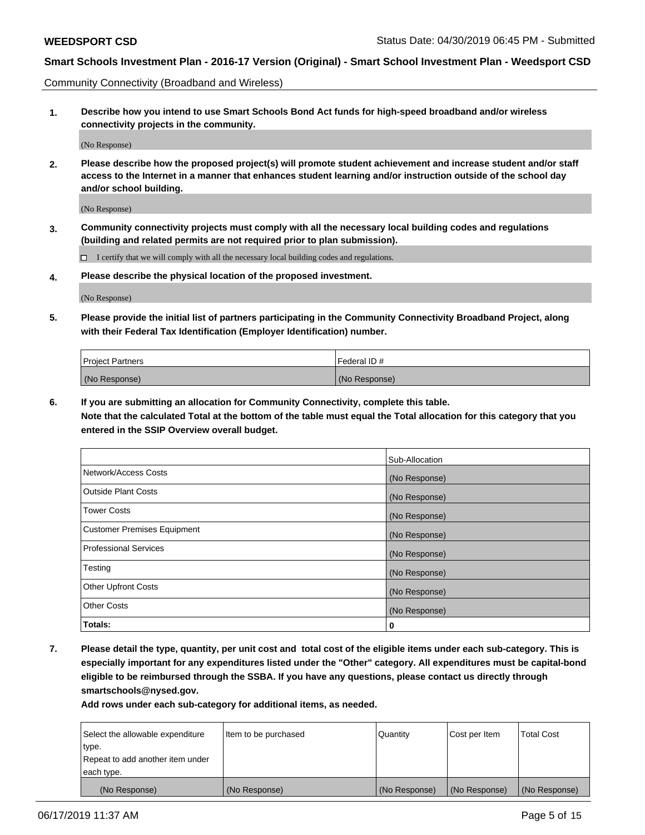Community Connectivity (Broadband and Wireless)

**1. Describe how you intend to use Smart Schools Bond Act funds for high-speed broadband and/or wireless connectivity projects in the community.**

(No Response)

**2. Please describe how the proposed project(s) will promote student achievement and increase student and/or staff access to the Internet in a manner that enhances student learning and/or instruction outside of the school day and/or school building.**

(No Response)

**3. Community connectivity projects must comply with all the necessary local building codes and regulations (building and related permits are not required prior to plan submission).**

 $\Box$  I certify that we will comply with all the necessary local building codes and regulations.

**4. Please describe the physical location of the proposed investment.**

(No Response)

**5. Please provide the initial list of partners participating in the Community Connectivity Broadband Project, along with their Federal Tax Identification (Employer Identification) number.**

| <b>Project Partners</b> | Federal ID#   |
|-------------------------|---------------|
| (No Response)           | (No Response) |

**6. If you are submitting an allocation for Community Connectivity, complete this table.**

**Note that the calculated Total at the bottom of the table must equal the Total allocation for this category that you entered in the SSIP Overview overall budget.**

|                                    | Sub-Allocation |
|------------------------------------|----------------|
| Network/Access Costs               | (No Response)  |
| <b>Outside Plant Costs</b>         | (No Response)  |
| <b>Tower Costs</b>                 | (No Response)  |
| <b>Customer Premises Equipment</b> | (No Response)  |
| <b>Professional Services</b>       | (No Response)  |
| Testing                            | (No Response)  |
| <b>Other Upfront Costs</b>         | (No Response)  |
| <b>Other Costs</b>                 | (No Response)  |
| Totals:                            | 0              |

**7. Please detail the type, quantity, per unit cost and total cost of the eligible items under each sub-category. This is especially important for any expenditures listed under the "Other" category. All expenditures must be capital-bond eligible to be reimbursed through the SSBA. If you have any questions, please contact us directly through smartschools@nysed.gov.**

| Select the allowable expenditure | Item to be purchased | Quantity      | Cost per Item | <b>Total Cost</b> |
|----------------------------------|----------------------|---------------|---------------|-------------------|
| type.                            |                      |               |               |                   |
| Repeat to add another item under |                      |               |               |                   |
| each type.                       |                      |               |               |                   |
| (No Response)                    | (No Response)        | (No Response) | (No Response) | (No Response)     |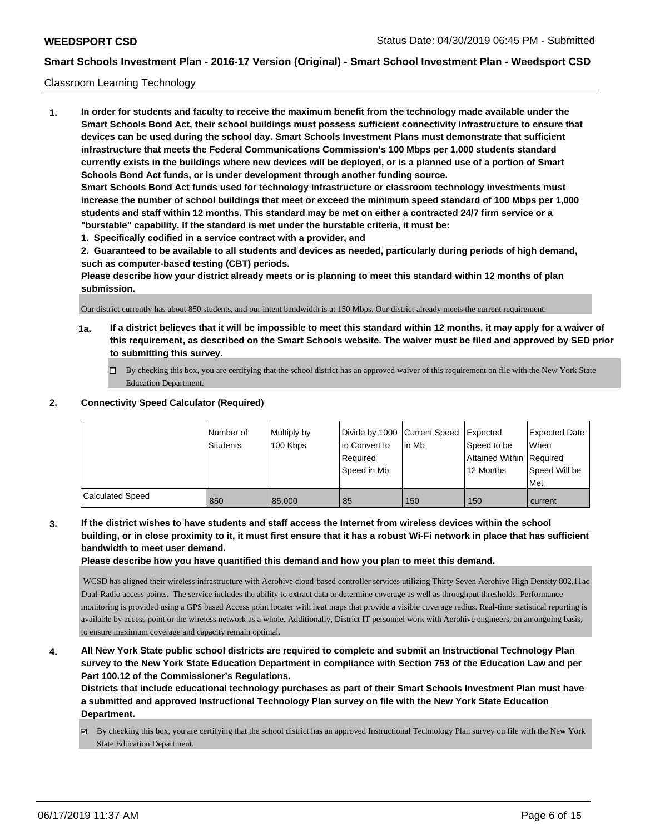#### Classroom Learning Technology

**1. In order for students and faculty to receive the maximum benefit from the technology made available under the Smart Schools Bond Act, their school buildings must possess sufficient connectivity infrastructure to ensure that devices can be used during the school day. Smart Schools Investment Plans must demonstrate that sufficient infrastructure that meets the Federal Communications Commission's 100 Mbps per 1,000 students standard currently exists in the buildings where new devices will be deployed, or is a planned use of a portion of Smart Schools Bond Act funds, or is under development through another funding source. Smart Schools Bond Act funds used for technology infrastructure or classroom technology investments must increase the number of school buildings that meet or exceed the minimum speed standard of 100 Mbps per 1,000 students and staff within 12 months. This standard may be met on either a contracted 24/7 firm service or a "burstable" capability. If the standard is met under the burstable criteria, it must be:**

**1. Specifically codified in a service contract with a provider, and**

**2. Guaranteed to be available to all students and devices as needed, particularly during periods of high demand, such as computer-based testing (CBT) periods.**

**Please describe how your district already meets or is planning to meet this standard within 12 months of plan submission.**

Our district currently has about 850 students, and our intent bandwidth is at 150 Mbps. Our district already meets the current requirement.

- **1a. If a district believes that it will be impossible to meet this standard within 12 months, it may apply for a waiver of this requirement, as described on the Smart Schools website. The waiver must be filed and approved by SED prior to submitting this survey.**
	- By checking this box, you are certifying that the school district has an approved waiver of this requirement on file with the New York State Education Department.

#### **2. Connectivity Speed Calculator (Required)**

|                  | Number of<br>Students | Multiply by<br>100 Kbps | Divide by 1000 Current Speed<br>to Convert to<br>Required<br>Speed in Mb | lin Mb | <b>Expected</b><br>Speed to be<br>Attained Within Required<br>12 Months | Expected Date<br>When<br>Speed Will be<br><b>Met</b> |
|------------------|-----------------------|-------------------------|--------------------------------------------------------------------------|--------|-------------------------------------------------------------------------|------------------------------------------------------|
| Calculated Speed | 850                   | 85,000                  | 85                                                                       | 150    | 150                                                                     | current                                              |

**3. If the district wishes to have students and staff access the Internet from wireless devices within the school building, or in close proximity to it, it must first ensure that it has a robust Wi-Fi network in place that has sufficient bandwidth to meet user demand.**

**Please describe how you have quantified this demand and how you plan to meet this demand.**

 WCSD has aligned their wireless infrastructure with Aerohive cloud-based controller services utilizing Thirty Seven Aerohive High Density 802.11ac Dual-Radio access points. The service includes the ability to extract data to determine coverage as well as throughput thresholds. Performance monitoring is provided using a GPS based Access point locater with heat maps that provide a visible coverage radius. Real-time statistical reporting is available by access point or the wireless network as a whole. Additionally, District IT personnel work with Aerohive engineers, on an ongoing basis, to ensure maximum coverage and capacity remain optimal.

**4. All New York State public school districts are required to complete and submit an Instructional Technology Plan survey to the New York State Education Department in compliance with Section 753 of the Education Law and per Part 100.12 of the Commissioner's Regulations.**

**Districts that include educational technology purchases as part of their Smart Schools Investment Plan must have a submitted and approved Instructional Technology Plan survey on file with the New York State Education Department.**

By checking this box, you are certifying that the school district has an approved Instructional Technology Plan survey on file with the New York State Education Department.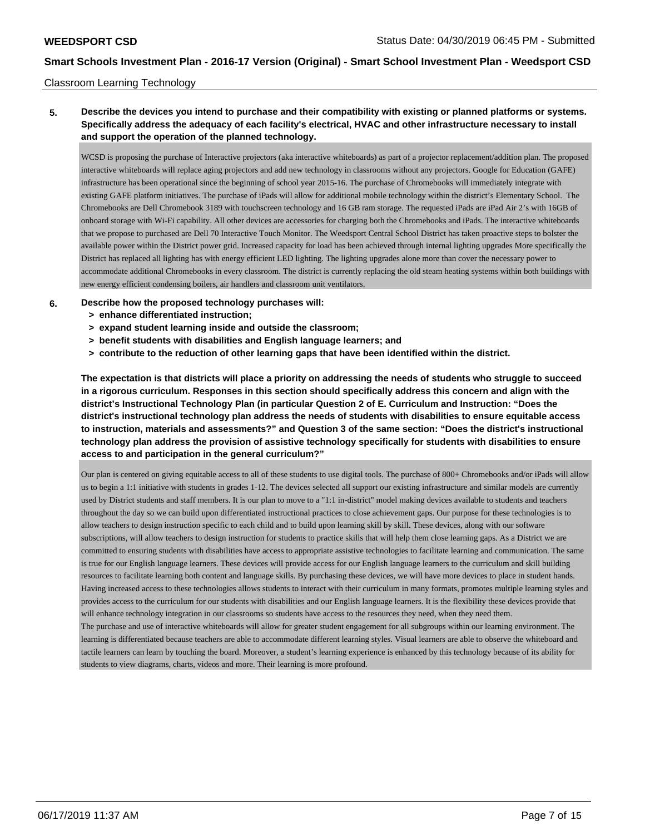#### Classroom Learning Technology

### **5. Describe the devices you intend to purchase and their compatibility with existing or planned platforms or systems. Specifically address the adequacy of each facility's electrical, HVAC and other infrastructure necessary to install and support the operation of the planned technology.**

WCSD is proposing the purchase of Interactive projectors (aka interactive whiteboards) as part of a projector replacement/addition plan. The proposed interactive whiteboards will replace aging projectors and add new technology in classrooms without any projectors. Google for Education (GAFE) infrastructure has been operational since the beginning of school year 2015-16. The purchase of Chromebooks will immediately integrate with existing GAFE platform initiatives. The purchase of iPads will allow for additional mobile technology within the district's Elementary School. The Chromebooks are Dell Chromebook 3189 with touchscreen technology and 16 GB ram storage. The requested iPads are iPad Air 2's with 16GB of onboard storage with Wi-Fi capability. All other devices are accessories for charging both the Chromebooks and iPads. The interactive whiteboards that we propose to purchased are Dell 70 Interactive Touch Monitor. The Weedsport Central School District has taken proactive steps to bolster the available power within the District power grid. Increased capacity for load has been achieved through internal lighting upgrades More specifically the District has replaced all lighting has with energy efficient LED lighting. The lighting upgrades alone more than cover the necessary power to accommodate additional Chromebooks in every classroom. The district is currently replacing the old steam heating systems within both buildings with new energy efficient condensing boilers, air handlers and classroom unit ventilators.

- **6. Describe how the proposed technology purchases will:**
	- **> enhance differentiated instruction;**
	- **> expand student learning inside and outside the classroom;**
	- **> benefit students with disabilities and English language learners; and**
	- **> contribute to the reduction of other learning gaps that have been identified within the district.**

**The expectation is that districts will place a priority on addressing the needs of students who struggle to succeed in a rigorous curriculum. Responses in this section should specifically address this concern and align with the district's Instructional Technology Plan (in particular Question 2 of E. Curriculum and Instruction: "Does the district's instructional technology plan address the needs of students with disabilities to ensure equitable access to instruction, materials and assessments?" and Question 3 of the same section: "Does the district's instructional technology plan address the provision of assistive technology specifically for students with disabilities to ensure access to and participation in the general curriculum?"**

Our plan is centered on giving equitable access to all of these students to use digital tools. The purchase of 800+ Chromebooks and/or iPads will allow us to begin a 1:1 initiative with students in grades 1-12. The devices selected all support our existing infrastructure and similar models are currently used by District students and staff members. It is our plan to move to a "1:1 in-district" model making devices available to students and teachers throughout the day so we can build upon differentiated instructional practices to close achievement gaps. Our purpose for these technologies is to allow teachers to design instruction specific to each child and to build upon learning skill by skill. These devices, along with our software subscriptions, will allow teachers to design instruction for students to practice skills that will help them close learning gaps. As a District we are committed to ensuring students with disabilities have access to appropriate assistive technologies to facilitate learning and communication. The same is true for our English language learners. These devices will provide access for our English language learners to the curriculum and skill building resources to facilitate learning both content and language skills. By purchasing these devices, we will have more devices to place in student hands. Having increased access to these technologies allows students to interact with their curriculum in many formats, promotes multiple learning styles and provides access to the curriculum for our students with disabilities and our English language learners. It is the flexibility these devices provide that will enhance technology integration in our classrooms so students have access to the resources they need, when they need them. The purchase and use of interactive whiteboards will allow for greater student engagement for all subgroups within our learning environment. The

learning is differentiated because teachers are able to accommodate different learning styles. Visual learners are able to observe the whiteboard and tactile learners can learn by touching the board. Moreover, a student's learning experience is enhanced by this technology because of its ability for students to view diagrams, charts, videos and more. Their learning is more profound.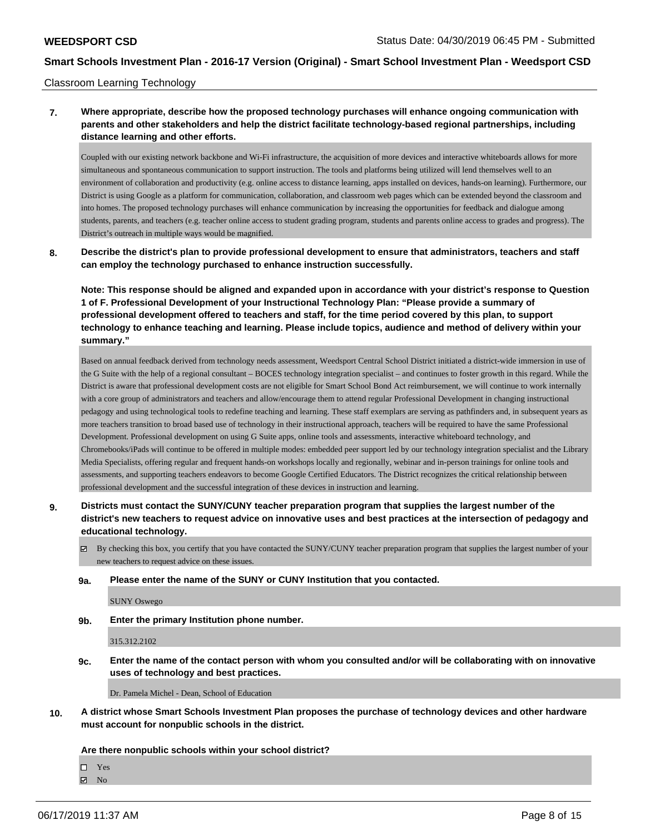#### Classroom Learning Technology

### **7. Where appropriate, describe how the proposed technology purchases will enhance ongoing communication with parents and other stakeholders and help the district facilitate technology-based regional partnerships, including distance learning and other efforts.**

Coupled with our existing network backbone and Wi-Fi infrastructure, the acquisition of more devices and interactive whiteboards allows for more simultaneous and spontaneous communication to support instruction. The tools and platforms being utilized will lend themselves well to an environment of collaboration and productivity (e.g. online access to distance learning, apps installed on devices, hands-on learning). Furthermore, our District is using Google as a platform for communication, collaboration, and classroom web pages which can be extended beyond the classroom and into homes. The proposed technology purchases will enhance communication by increasing the opportunities for feedback and dialogue among students, parents, and teachers (e.g. teacher online access to student grading program, students and parents online access to grades and progress). The District's outreach in multiple ways would be magnified.

**8. Describe the district's plan to provide professional development to ensure that administrators, teachers and staff can employ the technology purchased to enhance instruction successfully.**

**Note: This response should be aligned and expanded upon in accordance with your district's response to Question 1 of F. Professional Development of your Instructional Technology Plan: "Please provide a summary of professional development offered to teachers and staff, for the time period covered by this plan, to support technology to enhance teaching and learning. Please include topics, audience and method of delivery within your summary."**

Based on annual feedback derived from technology needs assessment, Weedsport Central School District initiated a district-wide immersion in use of the G Suite with the help of a regional consultant – BOCES technology integration specialist – and continues to foster growth in this regard. While the District is aware that professional development costs are not eligible for Smart School Bond Act reimbursement, we will continue to work internally with a core group of administrators and teachers and allow/encourage them to attend regular Professional Development in changing instructional pedagogy and using technological tools to redefine teaching and learning. These staff exemplars are serving as pathfinders and, in subsequent years as more teachers transition to broad based use of technology in their instructional approach, teachers will be required to have the same Professional Development. Professional development on using G Suite apps, online tools and assessments, interactive whiteboard technology, and Chromebooks/iPads will continue to be offered in multiple modes: embedded peer support led by our technology integration specialist and the Library Media Specialists, offering regular and frequent hands-on workshops locally and regionally, webinar and in-person trainings for online tools and assessments, and supporting teachers endeavors to become Google Certified Educators. The District recognizes the critical relationship between professional development and the successful integration of these devices in instruction and learning.

- **9. Districts must contact the SUNY/CUNY teacher preparation program that supplies the largest number of the district's new teachers to request advice on innovative uses and best practices at the intersection of pedagogy and educational technology.**
	- $\boxtimes$  By checking this box, you certify that you have contacted the SUNY/CUNY teacher preparation program that supplies the largest number of your new teachers to request advice on these issues.
	- **9a. Please enter the name of the SUNY or CUNY Institution that you contacted.**

SUNY Oswego

**9b. Enter the primary Institution phone number.**

315.312.2102

**9c. Enter the name of the contact person with whom you consulted and/or will be collaborating with on innovative uses of technology and best practices.**

Dr. Pamela Michel - Dean, School of Education

**10. A district whose Smart Schools Investment Plan proposes the purchase of technology devices and other hardware must account for nonpublic schools in the district.**

**Are there nonpublic schools within your school district?**

Yes

**Z** No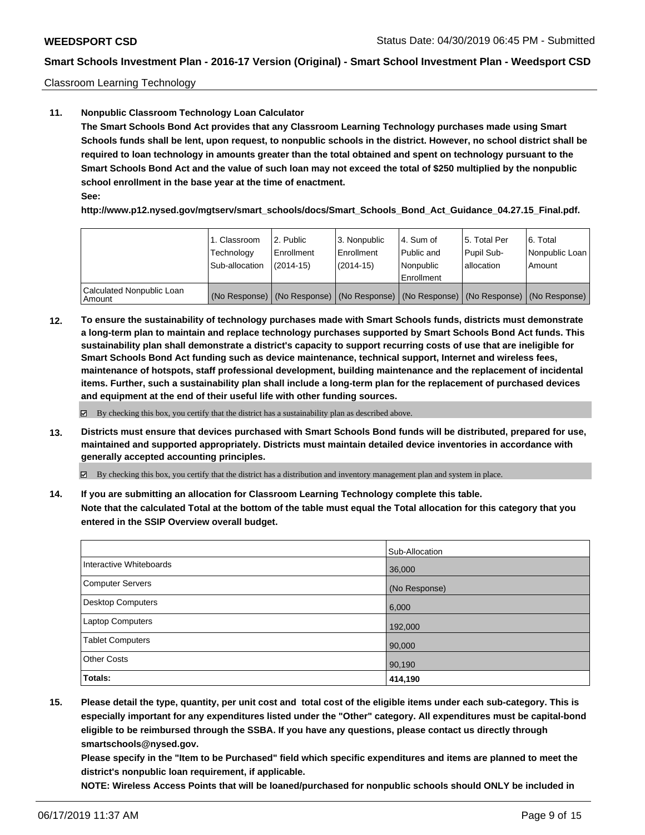Classroom Learning Technology

### **11. Nonpublic Classroom Technology Loan Calculator**

**The Smart Schools Bond Act provides that any Classroom Learning Technology purchases made using Smart Schools funds shall be lent, upon request, to nonpublic schools in the district. However, no school district shall be required to loan technology in amounts greater than the total obtained and spent on technology pursuant to the Smart Schools Bond Act and the value of such loan may not exceed the total of \$250 multiplied by the nonpublic school enrollment in the base year at the time of enactment. See:**

**http://www.p12.nysed.gov/mgtserv/smart\_schools/docs/Smart\_Schools\_Bond\_Act\_Guidance\_04.27.15\_Final.pdf.**

|                                       | 1. Classroom<br>Technology<br>Sub-allocation | l 2. Public<br>Enrollment<br>$(2014-15)$ | l 3. Nonpublic<br>Enrollment<br>$(2014-15)$ | l 4. Sum of<br>Public and<br>l Nonpublic<br>Enrollment | 15. Total Per<br>Pupil Sub-<br>allocation | 6. Total<br>Nonpublic Loan<br>Amount                                                          |
|---------------------------------------|----------------------------------------------|------------------------------------------|---------------------------------------------|--------------------------------------------------------|-------------------------------------------|-----------------------------------------------------------------------------------------------|
| Calculated Nonpublic Loan<br>l Amount |                                              |                                          |                                             |                                                        |                                           | (No Response)   (No Response)   (No Response)   (No Response)   (No Response)   (No Response) |

**12. To ensure the sustainability of technology purchases made with Smart Schools funds, districts must demonstrate a long-term plan to maintain and replace technology purchases supported by Smart Schools Bond Act funds. This sustainability plan shall demonstrate a district's capacity to support recurring costs of use that are ineligible for Smart Schools Bond Act funding such as device maintenance, technical support, Internet and wireless fees, maintenance of hotspots, staff professional development, building maintenance and the replacement of incidental items. Further, such a sustainability plan shall include a long-term plan for the replacement of purchased devices and equipment at the end of their useful life with other funding sources.**

 $\boxtimes$  By checking this box, you certify that the district has a sustainability plan as described above.

**13. Districts must ensure that devices purchased with Smart Schools Bond funds will be distributed, prepared for use, maintained and supported appropriately. Districts must maintain detailed device inventories in accordance with generally accepted accounting principles.**

By checking this box, you certify that the district has a distribution and inventory management plan and system in place.

**14. If you are submitting an allocation for Classroom Learning Technology complete this table. Note that the calculated Total at the bottom of the table must equal the Total allocation for this category that you entered in the SSIP Overview overall budget.**

|                          | Sub-Allocation |
|--------------------------|----------------|
| Interactive Whiteboards  | 36,000         |
| <b>Computer Servers</b>  | (No Response)  |
| <b>Desktop Computers</b> | 6,000          |
| Laptop Computers         | 192,000        |
| <b>Tablet Computers</b>  | 90,000         |
| <b>Other Costs</b>       | 90,190         |
| Totals:                  | 414,190        |

**15. Please detail the type, quantity, per unit cost and total cost of the eligible items under each sub-category. This is especially important for any expenditures listed under the "Other" category. All expenditures must be capital-bond eligible to be reimbursed through the SSBA. If you have any questions, please contact us directly through smartschools@nysed.gov.**

**Please specify in the "Item to be Purchased" field which specific expenditures and items are planned to meet the district's nonpublic loan requirement, if applicable.**

**NOTE: Wireless Access Points that will be loaned/purchased for nonpublic schools should ONLY be included in**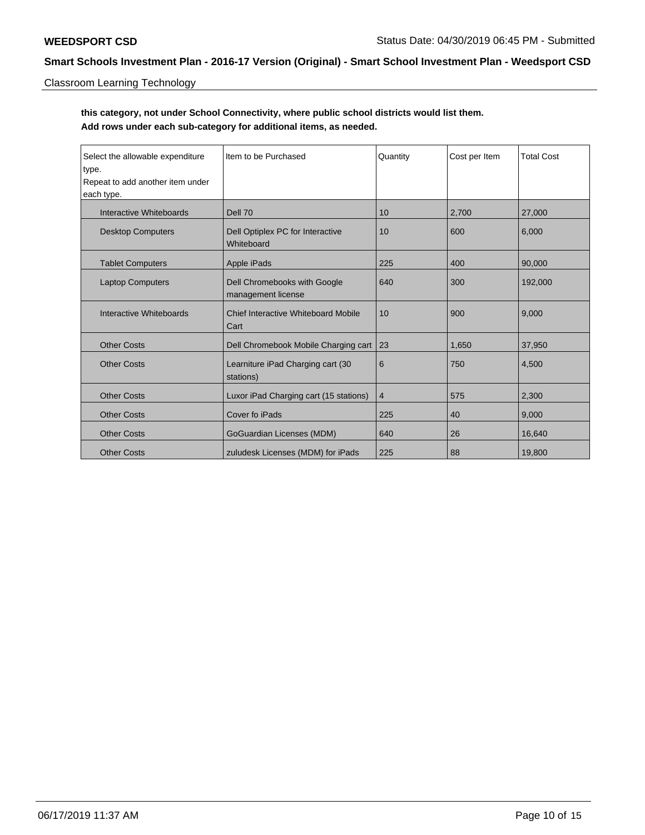# Classroom Learning Technology

# **this category, not under School Connectivity, where public school districts would list them. Add rows under each sub-category for additional items, as needed.**

| Select the allowable expenditure<br>type.<br>Repeat to add another item under<br>each type. | Item to be Purchased                               | Quantity | Cost per Item | <b>Total Cost</b> |
|---------------------------------------------------------------------------------------------|----------------------------------------------------|----------|---------------|-------------------|
| Interactive Whiteboards                                                                     | Dell 70                                            | 10       | 2,700         | 27,000            |
| <b>Desktop Computers</b>                                                                    | Dell Optiplex PC for Interactive<br>Whiteboard     | 10       | 600           | 6,000             |
| <b>Tablet Computers</b>                                                                     | Apple iPads                                        | 225      | 400           | 90,000            |
| <b>Laptop Computers</b>                                                                     | Dell Chromebooks with Google<br>management license | 640      | 300           | 192,000           |
| Interactive Whiteboards                                                                     | Chief Interactive Whiteboard Mobile<br>Cart        | 10       | 900           | 9,000             |
| <b>Other Costs</b>                                                                          | Dell Chromebook Mobile Charging cart               | 23       | 1,650         | 37,950            |
| <b>Other Costs</b>                                                                          | Learniture iPad Charging cart (30<br>stations)     | 6        | 750           | 4,500             |
| <b>Other Costs</b>                                                                          | Luxor iPad Charging cart (15 stations)             | 4        | 575           | 2,300             |
| <b>Other Costs</b>                                                                          | Cover fo iPads                                     | 225      | 40            | 9,000             |
| <b>Other Costs</b>                                                                          | GoGuardian Licenses (MDM)                          | 640      | 26            | 16,640            |
| <b>Other Costs</b>                                                                          | zuludesk Licenses (MDM) for iPads                  | 225      | 88            | 19,800            |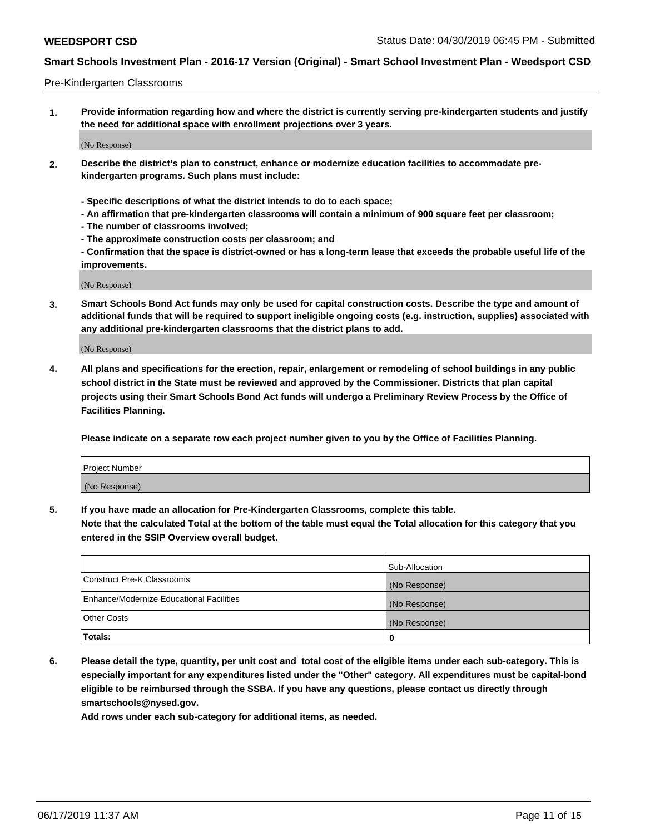#### Pre-Kindergarten Classrooms

**1. Provide information regarding how and where the district is currently serving pre-kindergarten students and justify the need for additional space with enrollment projections over 3 years.**

(No Response)

- **2. Describe the district's plan to construct, enhance or modernize education facilities to accommodate prekindergarten programs. Such plans must include:**
	- **Specific descriptions of what the district intends to do to each space;**
	- **An affirmation that pre-kindergarten classrooms will contain a minimum of 900 square feet per classroom;**
	- **The number of classrooms involved;**
	- **The approximate construction costs per classroom; and**
	- **Confirmation that the space is district-owned or has a long-term lease that exceeds the probable useful life of the improvements.**

(No Response)

**3. Smart Schools Bond Act funds may only be used for capital construction costs. Describe the type and amount of additional funds that will be required to support ineligible ongoing costs (e.g. instruction, supplies) associated with any additional pre-kindergarten classrooms that the district plans to add.**

(No Response)

**4. All plans and specifications for the erection, repair, enlargement or remodeling of school buildings in any public school district in the State must be reviewed and approved by the Commissioner. Districts that plan capital projects using their Smart Schools Bond Act funds will undergo a Preliminary Review Process by the Office of Facilities Planning.**

**Please indicate on a separate row each project number given to you by the Office of Facilities Planning.**

| Project Number |  |
|----------------|--|
| (No Response)  |  |
|                |  |

**5. If you have made an allocation for Pre-Kindergarten Classrooms, complete this table.**

**Note that the calculated Total at the bottom of the table must equal the Total allocation for this category that you entered in the SSIP Overview overall budget.**

|                                          | Sub-Allocation |
|------------------------------------------|----------------|
| Construct Pre-K Classrooms               | (No Response)  |
| Enhance/Modernize Educational Facilities | (No Response)  |
| <b>Other Costs</b>                       | (No Response)  |
| Totals:                                  | 0              |

**6. Please detail the type, quantity, per unit cost and total cost of the eligible items under each sub-category. This is especially important for any expenditures listed under the "Other" category. All expenditures must be capital-bond eligible to be reimbursed through the SSBA. If you have any questions, please contact us directly through smartschools@nysed.gov.**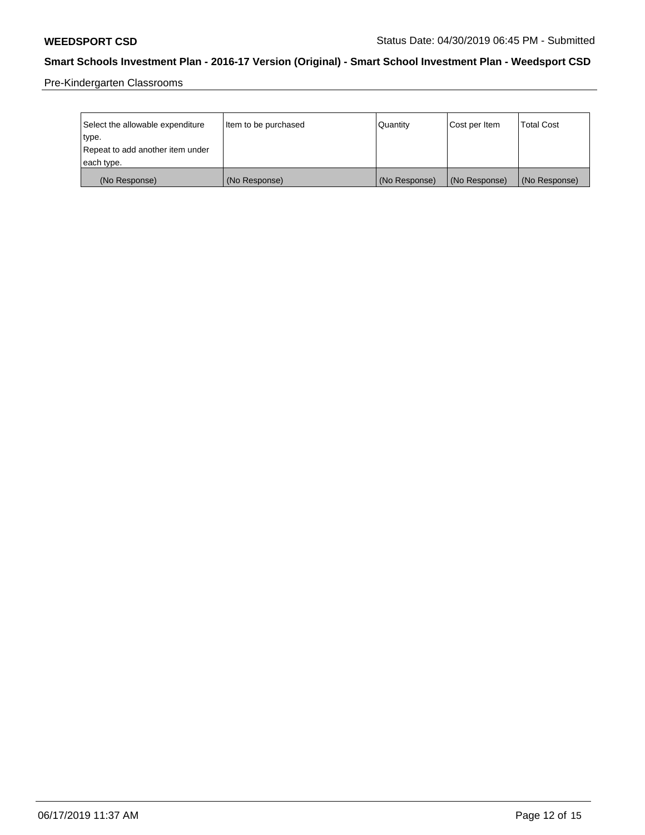Pre-Kindergarten Classrooms

| Select the allowable expenditure | Item to be purchased | Quantity      | Cost per Item | <b>Total Cost</b> |
|----------------------------------|----------------------|---------------|---------------|-------------------|
| type.                            |                      |               |               |                   |
| Repeat to add another item under |                      |               |               |                   |
| each type.                       |                      |               |               |                   |
| (No Response)                    | (No Response)        | (No Response) | (No Response) | (No Response)     |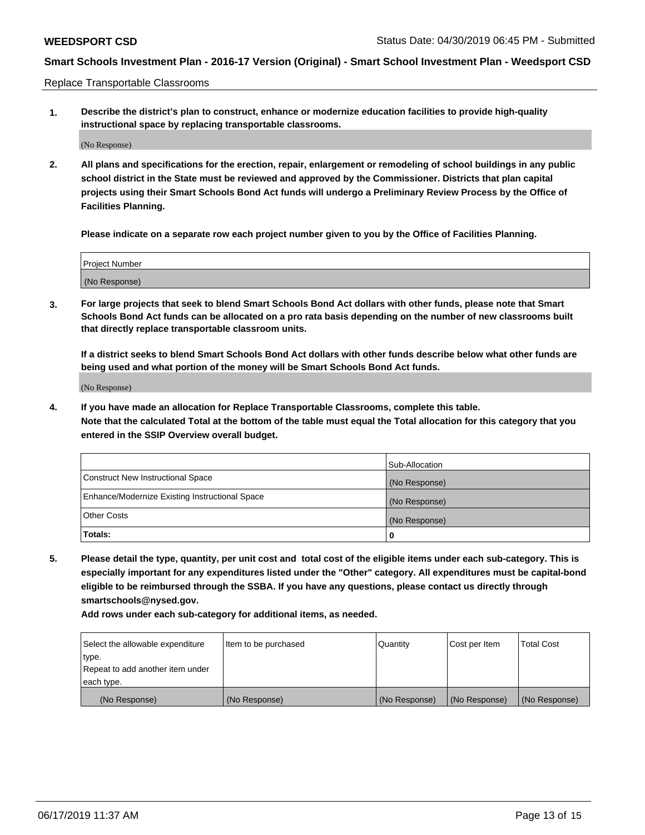Replace Transportable Classrooms

**1. Describe the district's plan to construct, enhance or modernize education facilities to provide high-quality instructional space by replacing transportable classrooms.**

(No Response)

**2. All plans and specifications for the erection, repair, enlargement or remodeling of school buildings in any public school district in the State must be reviewed and approved by the Commissioner. Districts that plan capital projects using their Smart Schools Bond Act funds will undergo a Preliminary Review Process by the Office of Facilities Planning.**

**Please indicate on a separate row each project number given to you by the Office of Facilities Planning.**

| Project Number |  |
|----------------|--|
|                |  |
|                |  |
|                |  |
|                |  |
| (No Response)  |  |
|                |  |
|                |  |
|                |  |

**3. For large projects that seek to blend Smart Schools Bond Act dollars with other funds, please note that Smart Schools Bond Act funds can be allocated on a pro rata basis depending on the number of new classrooms built that directly replace transportable classroom units.**

**If a district seeks to blend Smart Schools Bond Act dollars with other funds describe below what other funds are being used and what portion of the money will be Smart Schools Bond Act funds.**

(No Response)

**4. If you have made an allocation for Replace Transportable Classrooms, complete this table. Note that the calculated Total at the bottom of the table must equal the Total allocation for this category that you entered in the SSIP Overview overall budget.**

|                                                | Sub-Allocation |
|------------------------------------------------|----------------|
| Construct New Instructional Space              | (No Response)  |
| Enhance/Modernize Existing Instructional Space | (No Response)  |
| <b>Other Costs</b>                             | (No Response)  |
| Totals:                                        | 0              |

**5. Please detail the type, quantity, per unit cost and total cost of the eligible items under each sub-category. This is especially important for any expenditures listed under the "Other" category. All expenditures must be capital-bond eligible to be reimbursed through the SSBA. If you have any questions, please contact us directly through smartschools@nysed.gov.**

| Select the allowable expenditure | Item to be purchased | l Quantitv    | Cost per Item | <b>Total Cost</b> |
|----------------------------------|----------------------|---------------|---------------|-------------------|
| type.                            |                      |               |               |                   |
| Repeat to add another item under |                      |               |               |                   |
| each type.                       |                      |               |               |                   |
| (No Response)                    | (No Response)        | (No Response) | (No Response) | (No Response)     |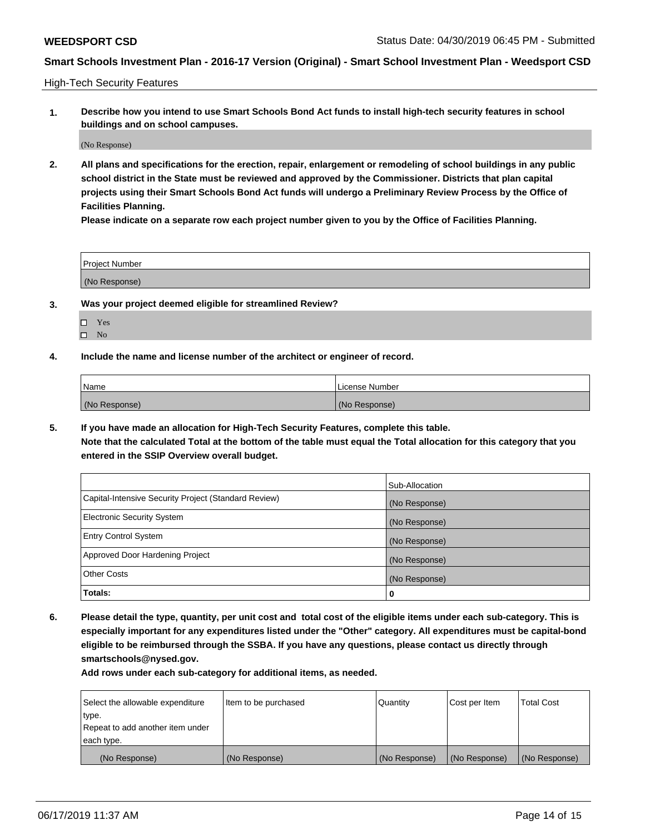High-Tech Security Features

**1. Describe how you intend to use Smart Schools Bond Act funds to install high-tech security features in school buildings and on school campuses.**

(No Response)

**2. All plans and specifications for the erection, repair, enlargement or remodeling of school buildings in any public school district in the State must be reviewed and approved by the Commissioner. Districts that plan capital projects using their Smart Schools Bond Act funds will undergo a Preliminary Review Process by the Office of Facilities Planning.** 

**Please indicate on a separate row each project number given to you by the Office of Facilities Planning.**

| <b>Project Number</b> |  |
|-----------------------|--|
| (No Response)         |  |

- **3. Was your project deemed eligible for streamlined Review?**
	- Yes
	- $\square$  No
- **4. Include the name and license number of the architect or engineer of record.**

| <b>Name</b>   | License Number |
|---------------|----------------|
| (No Response) | (No Response)  |

**5. If you have made an allocation for High-Tech Security Features, complete this table.**

**Note that the calculated Total at the bottom of the table must equal the Total allocation for this category that you entered in the SSIP Overview overall budget.**

|                                                      | Sub-Allocation |
|------------------------------------------------------|----------------|
| Capital-Intensive Security Project (Standard Review) | (No Response)  |
| <b>Electronic Security System</b>                    | (No Response)  |
| <b>Entry Control System</b>                          | (No Response)  |
| Approved Door Hardening Project                      | (No Response)  |
| <b>Other Costs</b>                                   | (No Response)  |
| Totals:                                              | 0              |

**6. Please detail the type, quantity, per unit cost and total cost of the eligible items under each sub-category. This is especially important for any expenditures listed under the "Other" category. All expenditures must be capital-bond eligible to be reimbursed through the SSBA. If you have any questions, please contact us directly through smartschools@nysed.gov.**

| Select the allowable expenditure | Item to be purchased | l Quantitv    | Cost per Item | <b>Total Cost</b> |
|----------------------------------|----------------------|---------------|---------------|-------------------|
| type.                            |                      |               |               |                   |
| Repeat to add another item under |                      |               |               |                   |
| each type.                       |                      |               |               |                   |
| (No Response)                    | (No Response)        | (No Response) | (No Response) | (No Response)     |